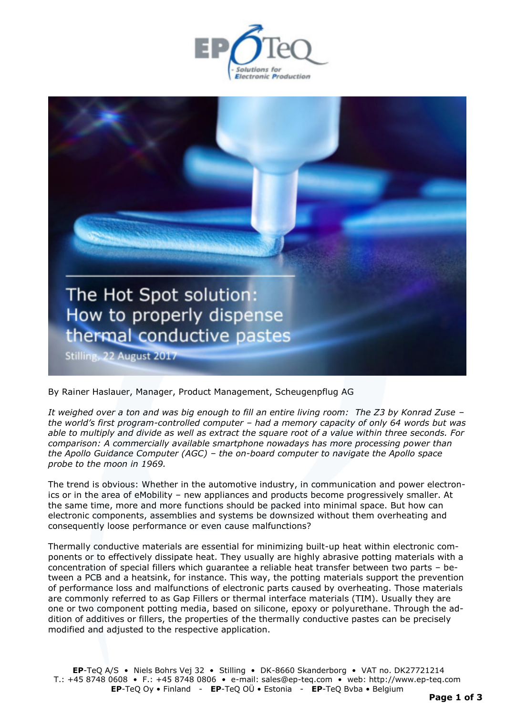



By Rainer Haslauer, Manager, Product Management, Scheugenpflug AG

*It weighed over a ton and was big enough to fill an entire living room: The Z3 by Konrad Zuse – the world's first program-controlled computer – had a memory capacity of only 64 words but was able to multiply and divide as well as extract the square root of a value within three seconds. For comparison: A commercially available smartphone nowadays has more processing power than the Apollo Guidance Computer (AGC) – the on-board computer to navigate the Apollo space probe to the moon in 1969.* 

The trend is obvious: Whether in the automotive industry, in communication and power electronics or in the area of eMobility – new appliances and products become progressively smaller. At the same time, more and more functions should be packed into minimal space. But how can electronic components, assemblies and systems be downsized without them overheating and consequently loose performance or even cause malfunctions?

Thermally conductive materials are essential for minimizing built-up heat within electronic components or to effectively dissipate heat. They usually are highly abrasive potting materials with a concentration of special fillers which guarantee a reliable heat transfer between two parts – between a PCB and a heatsink, for instance. This way, the potting materials support the prevention of performance loss and malfunctions of electronic parts caused by overheating. Those materials are commonly referred to as Gap Fillers or thermal interface materials (TIM). Usually they are one or two component potting media, based on silicone, epoxy or polyurethane. Through the addition of additives or fillers, the properties of the thermally conductive pastes can be precisely modified and adjusted to the respective application.

**EP**-TeQ A/S • Niels Bohrs Vej 32 • Stilling • DK-8660 Skanderborg • VAT no. DK27721214 T.: +45 8748 0608 • F.: +45 8748 0806 • e-mail: sales@ep-teq.com • web: [http://www.ep-teq.com](http://www.ep-teq.com/)  **EP**-TeQ Oy • Finland - **EP**-TeQ OÜ • Estonia - **EP**-TeQ Bvba • Belgium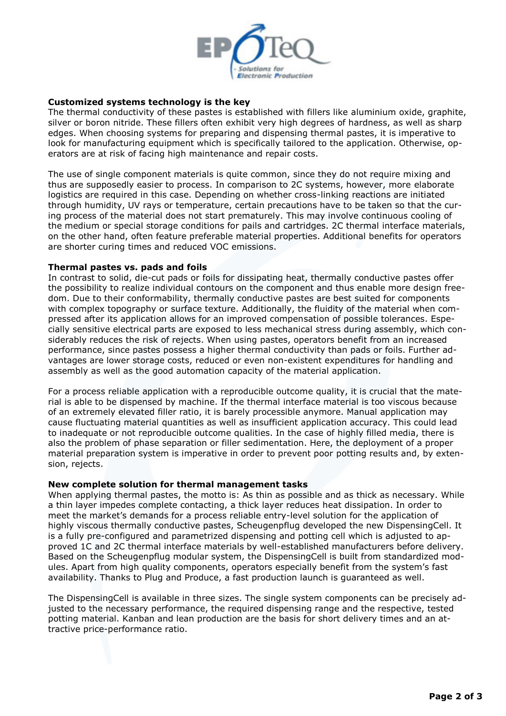

## **Customized systems technology is the key**

The thermal conductivity of these pastes is established with fillers like aluminium oxide, graphite, silver or boron nitride. These fillers often exhibit very high degrees of hardness, as well as sharp edges. When choosing systems for preparing and dispensing thermal pastes, it is imperative to look for manufacturing equipment which is specifically tailored to the application. Otherwise, operators are at risk of facing high maintenance and repair costs.

The use of single component materials is quite common, since they do not require mixing and thus are supposedly easier to process. In comparison to 2C systems, however, more elaborate logistics are required in this case. Depending on whether cross-linking reactions are initiated through humidity, UV rays or temperature, certain precautions have to be taken so that the curing process of the material does not start prematurely. This may involve continuous cooling of the medium or special storage conditions for pails and cartridges. 2C thermal interface materials, on the other hand, often feature preferable material properties. Additional benefits for operators are shorter curing times and reduced VOC emissions.

#### **Thermal pastes vs. pads and foils**

In contrast to solid, die-cut pads or foils for dissipating heat, thermally conductive pastes offer the possibility to realize individual contours on the component and thus enable more design freedom. Due to their conformability, thermally conductive pastes are best suited for components with complex topography or surface texture. Additionally, the fluidity of the material when compressed after its application allows for an improved compensation of possible tolerances. Especially sensitive electrical parts are exposed to less mechanical stress during assembly, which considerably reduces the risk of rejects. When using pastes, operators benefit from an increased performance, since pastes possess a higher thermal conductivity than pads or foils. Further advantages are lower storage costs, reduced or even non-existent expenditures for handling and assembly as well as the good automation capacity of the material application.

For a process reliable application with a reproducible outcome quality, it is crucial that the material is able to be dispensed by machine. If the thermal interface material is too viscous because of an extremely elevated filler ratio, it is barely processible anymore. Manual application may cause fluctuating material quantities as well as insufficient application accuracy. This could lead to inadequate or not reproducible outcome qualities. In the case of highly filled media, there is also the problem of phase separation or filler sedimentation. Here, the deployment of a proper material preparation system is imperative in order to prevent poor potting results and, by extension, rejects.

#### **New complete solution for thermal management tasks**

When applying thermal pastes, the motto is: As thin as possible and as thick as necessary. While a thin layer impedes complete contacting, a thick layer reduces heat dissipation. In order to meet the market's demands for a process reliable entry-level solution for the application of highly viscous thermally conductive pastes, Scheugenpflug developed the new DispensingCell. It is a fully pre-configured and parametrized dispensing and potting cell which is adjusted to approved 1C and 2C thermal interface materials by well-established manufacturers before delivery. Based on the Scheugenpflug modular system, the DispensingCell is built from standardized modules. Apart from high quality components, operators especially benefit from the system's fast availability. Thanks to Plug and Produce, a fast production launch is guaranteed as well.

The DispensingCell is available in three sizes. The single system components can be precisely adjusted to the necessary performance, the required dispensing range and the respective, tested potting material. Kanban and lean production are the basis for short delivery times and an attractive price-performance ratio.